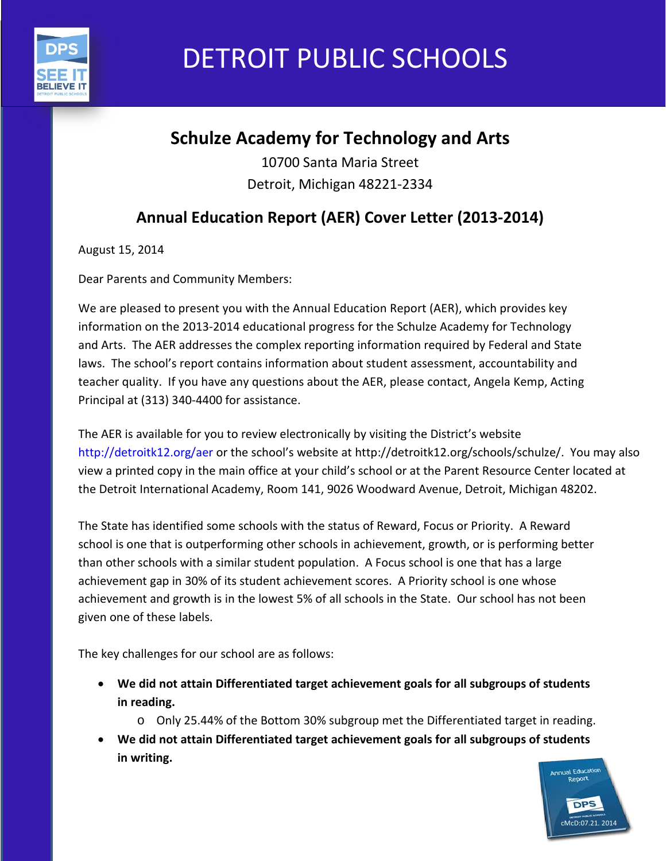

# DETROIT PUBLIC SCHOOLS

## **Schulze Academy for Technology and Arts**

10700 Santa Maria Street Detroit, Michigan 48221-2334

## **Annual Education Report (AER) Cover Letter (2013-2014)**

August 15, 2014

Dear Parents and Community Members:

We are pleased to present you with the Annual Education Report (AER), which provides key information on the 2013-2014 educational progress for the Schulze Academy for Technology and Arts. The AER addresses the complex reporting information required by Federal and State laws. The school's report contains information about student assessment, accountability and teacher quality. If you have any questions about the AER, please contact, Angela Kemp, Acting Principal at (313) 340-4400 for assistance.

The AER is available for you to review electronically by visiting the District's website http://detroitk12.org/aer or the school's website at http://detroitk12.org/schools/schulze/. You may also view a printed copy in the main office at your child's school or at the Parent Resource Center located at the Detroit International Academy, Room 141, 9026 Woodward Avenue, Detroit, Michigan 48202.

The State has identified some schools with the status of Reward, Focus or Priority. A Reward school is one that is outperforming other schools in achievement, growth, or is performing better than other schools with a similar student population. A Focus school is one that has a large achievement gap in 30% of its student achievement scores. A Priority school is one whose achievement and growth is in the lowest 5% of all schools in the State. Our school has not been given one of these labels.

The key challenges for our school are as follows:

- **We did not attain Differentiated target achievement goals for all subgroups of students in reading.**
	- o Only 25.44% of the Bottom 30% subgroup met the Differentiated target in reading.
- **We did not attain Differentiated target achievement goals for all subgroups of students in writing.**

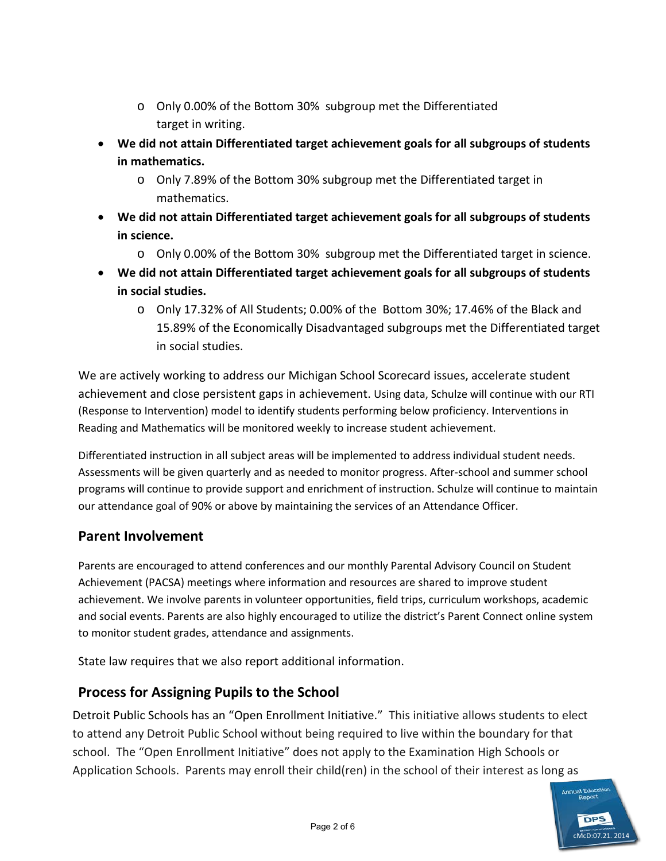- o Only 0.00% of the Bottom 30% subgroup met the Differentiated target in writing.
- **We did not attain Differentiated target achievement goals for all subgroups of students in mathematics.**
	- o Only 7.89% of the Bottom 30% subgroup met the Differentiated target in mathematics.
- **We did not attain Differentiated target achievement goals for all subgroups of students in science.**
	- o Only 0.00% of the Bottom 30% subgroup met the Differentiated target in science.
- **We did not attain Differentiated target achievement goals for all subgroups of students in social studies.**
	- o Only 17.32% of All Students; 0.00% of the Bottom 30%; 17.46% of the Black and 15.89% of the Economically Disadvantaged subgroups met the Differentiated target in social studies.

We are actively working to address our Michigan School Scorecard issues, accelerate student achievement and close persistent gaps in achievement. Using data, Schulze will continue with our RTI (Response to Intervention) model to identify students performing below proficiency. Interventions in Reading and Mathematics will be monitored weekly to increase student achievement.

Differentiated instruction in all subject areas will be implemented to address individual student needs. Assessments will be given quarterly and as needed to monitor progress. After-school and summer school programs will continue to provide support and enrichment of instruction. Schulze will continue to maintain our attendance goal of 90% or above by maintaining the services of an Attendance Officer.

#### **Parent Involvement**

Parents are encouraged to attend conferences and our monthly Parental Advisory Council on Student Achievement (PACSA) meetings where information and resources are shared to improve student achievement. We involve parents in volunteer opportunities, field trips, curriculum workshops, academic and social events. Parents are also highly encouraged to utilize the district's Parent Connect online system to monitor student grades, attendance and assignments.

State law requires that we also report additional information.

#### **Process for Assigning Pupils to the School**

Detroit Public Schools has an "Open Enrollment Initiative." This initiative allows students to elect to attend any Detroit Public School without being required to live within the boundary for that school. The "Open Enrollment Initiative" does not apply to the Examination High Schools or Application Schools. Parents may enroll their child(ren) in the school of their interest as long as

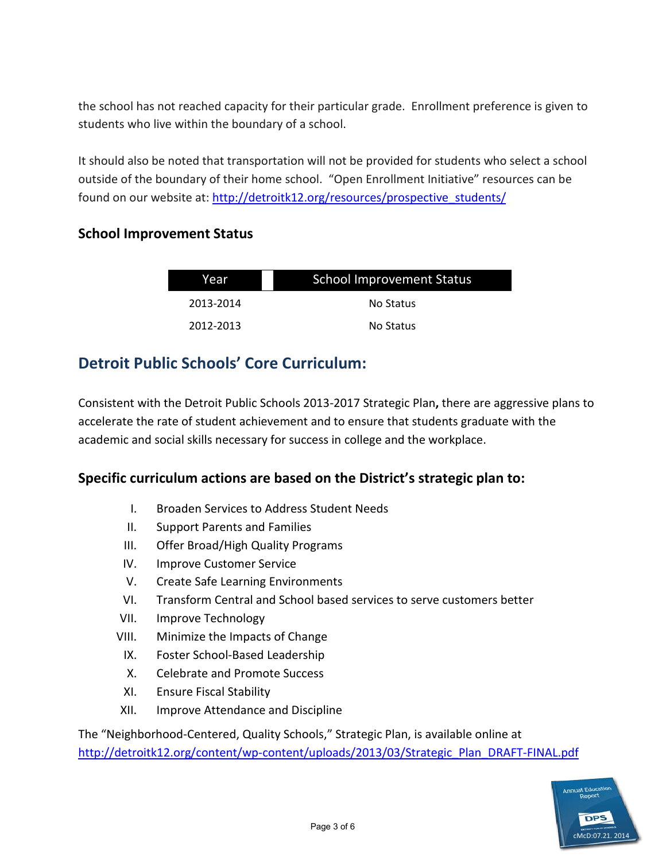the school has not reached capacity for their particular grade. Enrollment preference is given to students who live within the boundary of a school.

It should also be noted that transportation will not be provided for students who select a school outside of the boundary of their home school. "Open Enrollment Initiative" resources can be found on our website at: [http://detroitk12.org/resources/prospective\\_students/](http://detroitk12.org/resources/prospective_students/)

#### **School Improvement Status**

| Year      | <b>School Improvement Status</b> |  |
|-----------|----------------------------------|--|
| 2013-2014 | No Status                        |  |
| 2012-2013 | No Status                        |  |

### **Detroit Public Schools' Core Curriculum:**

Consistent with the Detroit Public Schools 2013-2017 Strategic Plan**,** there are aggressive plans to accelerate the rate of student achievement and to ensure that students graduate with the academic and social skills necessary for success in college and the workplace.

#### **Specific curriculum actions are based on the District's strategic plan to:**

- I. Broaden Services to Address Student Needs
- II. Support Parents and Families
- III. Offer Broad/High Quality Programs
- IV. Improve Customer Service
- V. Create Safe Learning Environments
- VI. Transform Central and School based services to serve customers better
- VII. Improve Technology
- VIII. Minimize the Impacts of Change
	- IX. Foster School-Based Leadership
	- X. Celebrate and Promote Success
	- XI. Ensure Fiscal Stability
- XII. Improve Attendance and Discipline

The "Neighborhood-Centered, Quality Schools," Strategic Plan, is available online at [http://detroitk12.org/content/wp-content/uploads/2013/03/Strategic\\_Plan\\_DRAFT-FINAL.pdf](http://detroitk12.org/content/wp-content/uploads/2013/03/Strategic_Plan_DRAFT-FINAL.pdf)

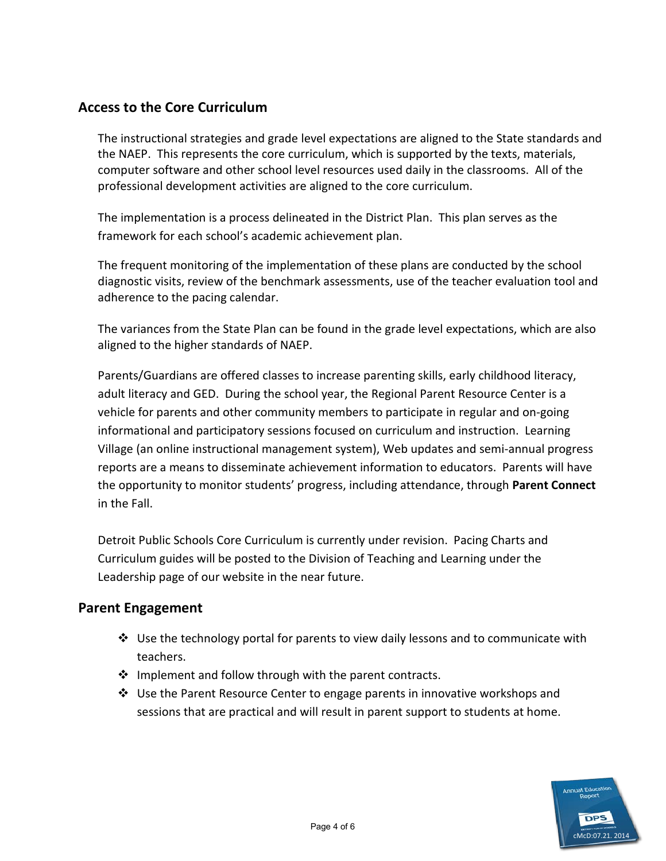#### **Access to the Core Curriculum**

The instructional strategies and grade level expectations are aligned to the State standards and the NAEP. This represents the core curriculum, which is supported by the texts, materials, computer software and other school level resources used daily in the classrooms. All of the professional development activities are aligned to the core curriculum.

The implementation is a process delineated in the District Plan. This plan serves as the framework for each school's academic achievement plan.

The frequent monitoring of the implementation of these plans are conducted by the school diagnostic visits, review of the benchmark assessments, use of the teacher evaluation tool and adherence to the pacing calendar.

The variances from the State Plan can be found in the grade level expectations, which are also aligned to the higher standards of NAEP.

Parents/Guardians are offered classes to increase parenting skills, early childhood literacy, adult literacy and GED. During the school year, the Regional Parent Resource Center is a vehicle for parents and other community members to participate in regular and on-going informational and participatory sessions focused on curriculum and instruction. Learning Village (an online instructional management system), Web updates and semi-annual progress reports are a means to disseminate achievement information to educators. Parents will have the opportunity to monitor students' progress, including attendance, through **Parent Connect**  in the Fall.

Detroit Public Schools Core Curriculum is currently under revision. Pacing Charts and Curriculum guides will be posted to the Division of Teaching and Learning under the Leadership page of our website in the near future.

#### **Parent Engagement**

- $\clubsuit$  Use the technology portal for parents to view daily lessons and to communicate with teachers.
- ❖ Implement and follow through with the parent contracts.
- $\clubsuit$  Use the Parent Resource Center to engage parents in innovative workshops and sessions that are practical and will result in parent support to students at home.

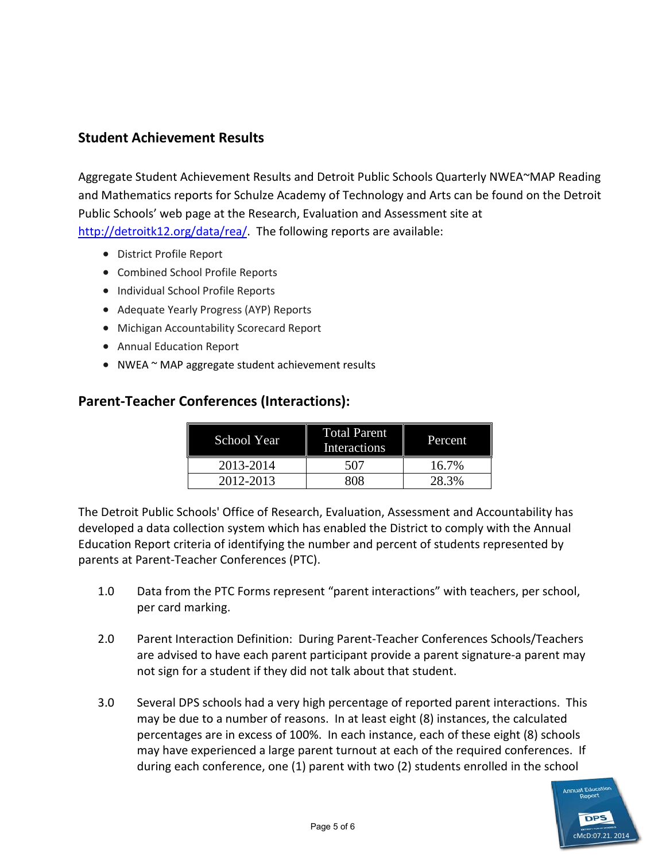#### **Student Achievement Results**

Aggregate Student Achievement Results and Detroit Public Schools Quarterly NWEA~MAP Reading and Mathematics reports for Schulze Academy of Technology and Arts can be found on the Detroit Public Schools' web page at the Research, Evaluation and Assessment site at [http://detroitk12.org/data/rea/.](http://detroitk12.org/data/rea/) The following reports are available:

- District Profile Report
- Combined School Profile Reports
- Individual School Profile Reports
- Adequate Yearly Progress (AYP) Reports
- Michigan Accountability Scorecard Report
- Annual Education Report
- NWEA ~ MAP aggregate student achievement results

#### **Parent-Teacher Conferences (Interactions):**

| School Year | <b>Total Parent</b><br>Interactions | Percent |
|-------------|-------------------------------------|---------|
| 2013-2014   | 507                                 | 16.7%   |
| 2012-2013   | 808                                 | 28.3%   |

The Detroit Public Schools' Office of Research, Evaluation, Assessment and Accountability has developed a data collection system which has enabled the District to comply with the Annual Education Report criteria of identifying the number and percent of students represented by parents at Parent-Teacher Conferences (PTC).

- 1.0 Data from the PTC Forms represent "parent interactions" with teachers, per school, per card marking.
- 2.0 Parent Interaction Definition: During Parent-Teacher Conferences Schools/Teachers are advised to have each parent participant provide a parent signature-a parent may not sign for a student if they did not talk about that student.
- 3.0 Several DPS schools had a very high percentage of reported parent interactions. This may be due to a number of reasons. In at least eight (8) instances, the calculated percentages are in excess of 100%. In each instance, each of these eight (8) schools may have experienced a large parent turnout at each of the required conferences. If during each conference, one (1) parent with two (2) students enrolled in the school